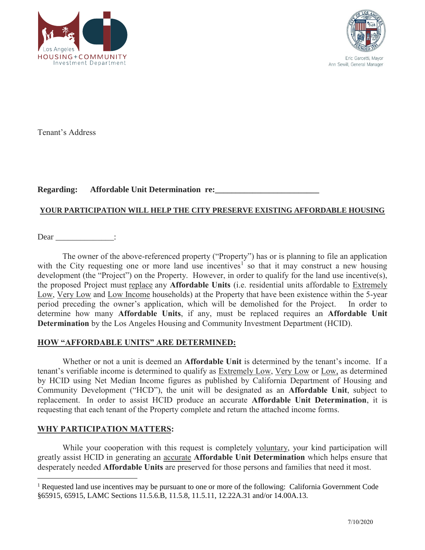



Tenant's Address

#### **Regarding:** Affordable Unit Determination re:

#### **YOUR PARTICIPATION WILL HELP THE CITY PRESERVE EXISTING AFFORDABLE HOUSING**

Dear \_\_\_\_\_\_\_\_\_\_\_\_\_:

development (the "Project") on the Property. However, in order to qualify for the land use incentive(s), The owner of the above-referenced property ("Property") has or is planning to file an application with the City requesting one or more land use incentives<sup>1</sup> so that it may construct a new housing the proposed Project must replace any **Affordable Units** (i.e. residential units affordable to Extremely Low, Very Low and Low Income households) at the Property that have been existence within the 5-year period preceding the owner's application, which will be demolished for the Project. In order to determine how many **Affordable Units**, if any, must be replaced requires an **Affordable Unit Determination** by the Los Angeles Housing and Community Investment Department (HCID).

#### **HOW "AFFORDABLE UNITS" ARE DETERMINED:**

tenant's verifiable income is determined to qualify as **Extremely Low**, Very Low or Low, as determined Community Development ("HCD"), the unit will be designated as an **Affordable Unit**, subject to Whether or not a unit is deemed an **Affordable Unit** is determined by the tenant's income. If a by HCID using Net Median Income figures as published by California Department of Housing and replacement. In order to assist HCID produce an accurate **Affordable Unit Determination**, it is requesting that each tenant of the Property complete and return the attached income forms.

#### **WHY PARTICIPATION MATTERS:**

While your cooperation with this request is completely voluntary, your kind participation will greatly assist HCID in generating an accurate **Affordable Unit Determination** which helps ensure that desperately needed **Affordable Units** are preserved for those persons and families that need it most.

<sup>&</sup>lt;sup>1</sup> Requested land use incentives may be pursuant to one or more of the following: California Government Code §65915, 65915, LAMC Sections 11.5.6.B, 11.5.8, 11.5.11, 12.22A.31 and/or 14.00A.13.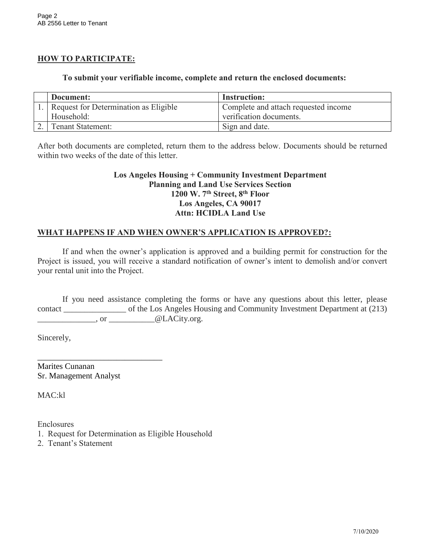# **HOW TO PARTICIPATE:**

#### **To submit your verifiable income, complete and return the enclosed documents:**

| Document:                               | <b>Instruction:</b>                  |
|-----------------------------------------|--------------------------------------|
| . Request for Determination as Eligible | Complete and attach requested income |
| Household:                              | verification documents.              |
| <b>Tenant Statement:</b>                | Sign and date.                       |

After both documents are completed, return them to the address below. Documents should be returned within two weeks of the date of this letter.

#### **Los Angeles Housing + Community Investment Department Planning and Land Use Services Section 1200 W. 7th Street, 8th Floor Los Angeles, CA 90017 Attn: HCIDLA Land Use**

# **WHAT HAPPENS IF AND WHEN OWNER'S APPLICATION IS APPROVED?:**

If and when the owner's application is approved and a building permit for construction for the Project is issued, you will receive a standard notification of owner's intent to demolish and/or convert your rental unit into the Project.

If you need assistance completing the forms or have any questions about this letter, please contact \_\_\_\_\_\_\_\_\_\_\_\_\_\_\_ of the Los Angeles Housing and Community Investment Department at (213) \_\_\_\_\_\_\_\_\_\_\_\_\_\_, or \_\_\_\_\_\_\_\_\_\_\_@LACity.org.

Sincerely,

Marites Cunanan Sr. Management Analyst

\_\_\_\_\_\_\_\_\_\_\_\_\_\_\_\_\_\_\_\_\_\_\_\_\_\_\_\_\_\_

MAC:kl

Enclosures

- 1. Request for Determination as Eligible Household
- 2. Tenant's Statement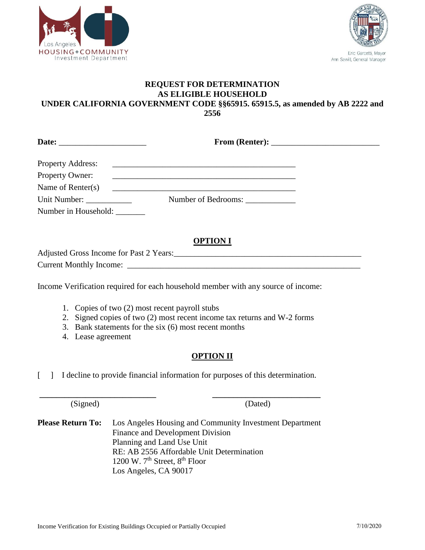



#### **REQUEST FOR DETERMINATION AS ELIGIBLE HOUSEHOLD UNDER CALIFORNIA GOVERNMENT CODE §§65915. 65915.5, as amended by AB 2222 and 2556**

|                          | From (Renter): $\frac{1}{\sqrt{1-\frac{1}{2}}\sqrt{1-\frac{1}{2}}\sqrt{1-\frac{1}{2}}\sqrt{1-\frac{1}{2}}\sqrt{1-\frac{1}{2}}\sqrt{1-\frac{1}{2}}\sqrt{1-\frac{1}{2}}\sqrt{1-\frac{1}{2}}\sqrt{1-\frac{1}{2}}\sqrt{1-\frac{1}{2}}\sqrt{1-\frac{1}{2}}\sqrt{1-\frac{1}{2}}\sqrt{1-\frac{1}{2}}\sqrt{1-\frac{1}{2}}\sqrt{1-\frac{1}{2}}\sqrt{1-\frac{1}{2}}\sqrt{1-\frac{1}{2}}\sqrt{1-\frac{1}{2}}\sqrt$ |  |
|--------------------------|---------------------------------------------------------------------------------------------------------------------------------------------------------------------------------------------------------------------------------------------------------------------------------------------------------------------------------------------------------------------------------------------------------|--|
| <b>Property Address:</b> |                                                                                                                                                                                                                                                                                                                                                                                                         |  |
| Property Owner:          | <u> 1989 - Jan Alexander Alexander (h. 1989).</u>                                                                                                                                                                                                                                                                                                                                                       |  |
| Name of Renter(s)        |                                                                                                                                                                                                                                                                                                                                                                                                         |  |
| Unit Number:             | Number of Bedrooms:                                                                                                                                                                                                                                                                                                                                                                                     |  |
| Number in Household:     |                                                                                                                                                                                                                                                                                                                                                                                                         |  |

# **OPTION I**

Adjusted Gross Income for Past 2 Years:\_\_\_\_\_\_\_\_\_\_\_\_\_\_\_\_\_\_\_\_\_\_\_\_\_\_\_\_\_\_\_\_\_\_\_\_\_\_\_\_\_\_\_\_\_ Current Monthly Income:

Income Verification required for each household member with any source of income:

- 1. Copies of two (2) most recent payroll stubs
- 2. Signed copies of two (2) most recent income tax returns and W-2 forms
- 3. Bank statements for the six (6) most recent months
- 4. Lease agreement

# **OPTION II**

[ ] I decline to provide financial information for purposes of this determination.

 **\_\_\_\_\_\_\_\_\_\_\_\_\_\_\_\_\_\_\_\_\_\_\_\_\_\_\_\_ \_\_\_\_\_\_\_\_\_\_\_\_\_\_\_\_\_\_\_\_\_\_\_\_\_\_** 

(Signed) (Dated)

**Please Return To:** Los Angeles Housing and Community Investment Department Finance and Development Division Planning and Land Use Unit RE: AB 2556 Affordable Unit Determination 1200 W.  $7<sup>th</sup>$  Street,  $8<sup>th</sup>$  Floor Los Angeles, CA 90017